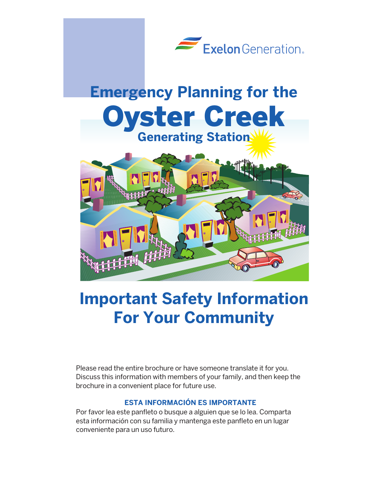

## **Important Safety Information For Your Community**

Please read the entire brochure or have someone translate it for you. Discuss this information with members of your family, and then keep the brochure in a convenient place for future use.

## **ESTA INFORMACIÓN ES IMPORTANTE**

Por favor lea este panfleto o busque a alguien que se lo lea. Comparta esta información con su familia y mantenga este panfleto en un lugar conveniente para un uso futuro.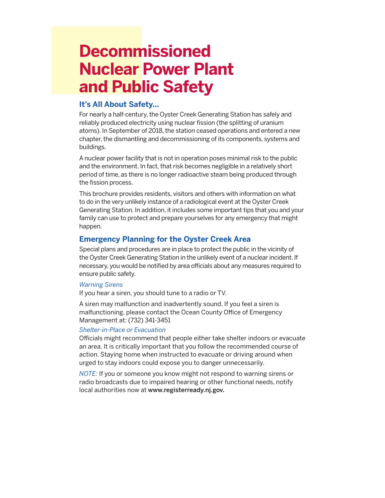## **Decommissioned Nuclear Power Plant and Public Safety**

### **It's All About Safety…**

For nearly a half-century, the Oyster Creek Generating Station has safely and reliably produced electricity using nuclear fission (the splitting of uranium atoms). In September of 2018, the station ceased operations and entered a new chapter, the dismantling and decommissioning of its components, systems and buildings.

A nuclear power facility that is not in operation poses minimal risk to the public and the environment. In fact, that risk becomes negligible in a relatively short period of time, as there is no longer radioactive steam being produced through the fission process.

This brochure provides residents, visitors and others with information on what to do in the very unlikely instance of a radiological event at the Oyster Creek Generating Station. In addition, it includes some important tips that you and your family can use to protect and prepare yourselves for any emergency that might happen.

## **Emergency Planning for the Oyster Creek Area**

Special plans and procedures are in place to protect the public in the vicinity of the Oyster Creek Generating Station in the unlikely event of a nuclear incident. If necessary, you would be notified by area officials about any measures required to ensure public safety.

### *Warning Sirens*

If you hear a siren, you should tune to a radio or TV.

A siren may malfunction and inadvertently sound. If you feel a siren is malfunctioning, please contact the Ocean County Office of Emergency Management at: (732) 341-3451

### *Shelter-in-Place or Evacuation*

Officials might recommend that people either take shelter indoors or evacuate an area. It is critically important that you follow the recommended course of action. Staying home when instructed to evacuate or driving around when urged to stay indoors could expose you to danger unnecessarily.

*NOTE:* If you or someone you know might not respond to warning sirens or radio broadcasts due to impaired hearing or other functional needs, notify local authorities now at www.registerready.nj.gov.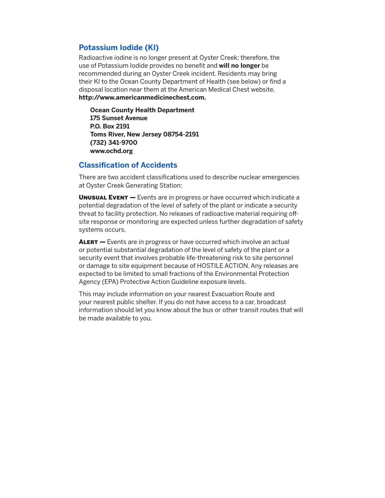### **Potassium Iodide (KI)**

Radioactive iodine is no longer present at Oyster Creek; therefore, the use of Potassium Iodide provides no benefit and **will no longer** be recommended during an Oyster Creek incident. Residents may bring their KI to the Ocean County Department of Health (see below) or find a disposal location near them at the American Medical Chest website, **http://www.americanmedicinechest.com.**

**Ocean County Health Department 175 Sunset Avenue P.O. Box 2191 Toms River, New Jersey 08754-2191 (732) 341-9700 www.ochd.org**

#### **Classification of Accidents**

There are two accident classifications used to describe nuclear emergencies at Oyster Creek Generating Station:

**UNUSUAL EVENT** — Events are in progress or have occurred which indicate a potential degradation of the level of safety of the plant or indicate a security threat to facility protection. No releases of radioactive material requiring offsite response or monitoring are expected unless further degradation of safety systems occurs.

ALERT - Events are in progress or have occurred which involve an actual or potential substantial degradation of the level of safety of the plant or a security event that involves probable life-threatening risk to site personnel or damage to site equipment because of HOSTILE ACTION. Any releases are expected to be limited to small fractions of the Environmental Protection Agency (EPA) Protective Action Guideline exposure levels.

This may include information on your nearest Evacuation Route and your nearest public shelter. If you do not have access to a car, broadcast information should let you know about the bus or other transit routes that will be made available to you.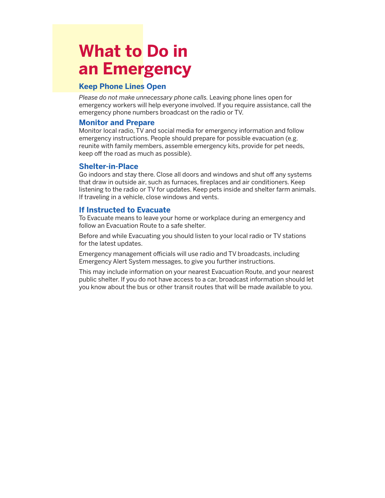## **What to Do in an Emergency**

### **Keep Phone Lines Open**

*Please do not make unnecessary phone calls.* Leaving phone lines open for emergency workers will help everyone involved. If you require assistance, call the emergency phone numbers broadcast on the radio or TV.

#### **Monitor and Prepare**

Monitor local radio, TV and social media for emergency information and follow emergency instructions. People should prepare for possible evacuation (e.g. reunite with family members, assemble emergency kits, provide for pet needs, keep off the road as much as possible).

#### **Shelter-in-Place**

Go indoors and stay there. Close all doors and windows and shut off any systems that draw in outside air, such as furnaces, fireplaces and air conditioners. Keep listening to the radio or TV for updates. Keep pets inside and shelter farm animals. If traveling in a vehicle, close windows and vents.

### **If Instructed to Evacuate**

To Evacuate means to leave your home or workplace during an emergency and follow an Evacuation Route to a safe shelter.

Before and while Evacuating you should listen to your local radio or TV stations for the latest updates.

Emergency management officials will use radio and TV broadcasts, including Emergency Alert System messages, to give you further instructions.

This may include information on your nearest Evacuation Route, and your nearest public shelter. If you do not have access to a car, broadcast information should let you know about the bus or other transit routes that will be made available to you.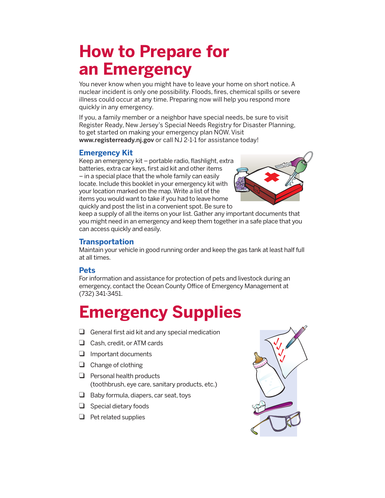## **How to Prepare for an Emergency**

You never know when you might have to leave your home on short notice. A nuclear incident is only one possibility. Floods, fires, chemical spills or severe illness could occur at any time. Preparing now will help you respond more quickly in any emergency.

If you, a family member or a neighbor have special needs, be sure to visit Register Ready, New Jersey's Special Needs Registry for Disaster Planning, to get started on making your emergency plan NOW. Visit www.registerready.nj.gov or call NJ 2-1-1 for assistance today!

### **Emergency Kit**

Keep an emergency kit – portable radio, flashlight, extra batteries, extra car keys, first aid kit and other items – in a special place that the whole family can easily locate. Include this booklet in your emergency kit with your location marked on the map. Write a list of the items you would want to take if you had to leave home quickly and post the list in a convenient spot. Be sure to



keep a supply of all the items on your list. Gather any important documents that you might need in an emergency and keep them together in a safe place that you can access quickly and easily.

## **Transportation**

Maintain your vehicle in good running order and keep the gas tank at least half full at all times.

## **Pets**

For information and assistance for protection of pets and livestock during an emergency, contact the Ocean County Office of Emergency Management at (732) 341-3451.

# **Emergency Supplies**

- General first aid kit and any special medication
- $\Box$  Cash, credit, or ATM cards
- $\Box$  Important documents
- $\Box$  Change of clothing
- $\Box$  Personal health products (toothbrush, eye care, sanitary products, etc.)
- $\Box$  Baby formula, diapers, car seat, toys
- $\Box$  Special dietary foods
- $\Box$  Pet related supplies